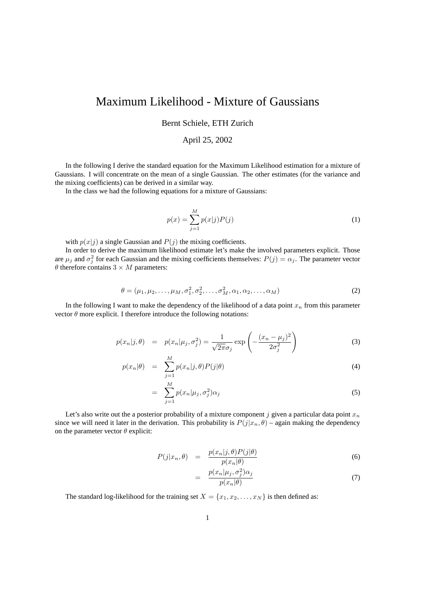## Maximum Likelihood - Mixture of Gaussians

Bernt Schiele, ETH Zurich

## April 25, 2002

In the following I derive the standard equation for the Maximum Likelihood estimation for a mixture of Gaussians. I will concentrate on the mean of a single Gaussian. The other estimates (for the variance and the mixing coefficients) can be derived in a similar way.

In the class we had the following equations for a mixture of Gaussians:

$$
p(x) = \sum_{j=1}^{M} p(x|j)P(j)
$$
 (1)

with  $p(x|j)$  a single Gaussian and  $P(j)$  the mixing coefficients.

In order to derive the maximum likelihood estimate let's make the involved parameters explicit. Those are  $\mu_j$  and  $\sigma_j^2$  for each Gaussian and the mixing coefficients themselves:  $P(j) = \alpha_j$ . The parameter vector  $\theta$  therefore contains  $3 \times M$  parameters:

$$
\theta = (\mu_1, \mu_2, \dots, \mu_M, \sigma_1^2, \sigma_2^2, \dots, \sigma_M^2, \alpha_1, \alpha_2, \dots, \alpha_M)
$$
\n(2)

In the following I want to make the dependency of the likelihood of a data point  $x_n$  from this parameter vector  $\theta$  more explicit. I therefore introduce the following notations:

$$
p(x_n|j, \theta) = p(x_n|\mu_j, \sigma_j^2) = \frac{1}{\sqrt{2\pi}\sigma_j} \exp\left(-\frac{(x_n - \mu_j)^2}{2\sigma_j^2}\right)
$$
(3)

$$
p(x_n|\theta) = \sum_{j=1}^{M} p(x_n|j,\theta) P(j|\theta)
$$
\n(4)

$$
= \sum_{j=1}^{M} p(x_n | \mu_j, \sigma_j^2) \alpha_j \tag{5}
$$

Let's also write out the a posterior probability of a mixture component j given a particular data point  $x_n$ since we will need it later in the derivation. This probability is  $P(j|x_n, \theta)$  – again making the dependency on the parameter vector  $\theta$  explicit:

$$
P(j|x_n, \theta) = \frac{p(x_n|j, \theta)P(j|\theta)}{p(x_n|\theta)}
$$
(6)

$$
= \frac{p(x_n|\mu_j, \sigma_j^2)\alpha_j}{p(x_n|\theta)} \tag{7}
$$

The standard log-likelihood for the training set  $X = \{x_1, x_2, \dots, x_N\}$  is then defined as: